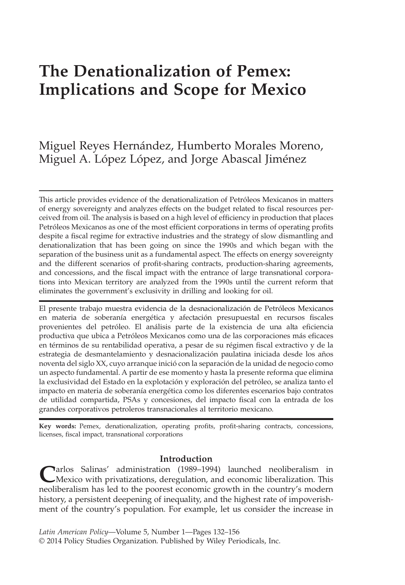# **The Denationalization of Pemex: Implications and Scope for Mexico**

Miguel Reyes Hernández, Humberto Morales Moreno, Miguel A. López López, and Jorge Abascal Jiménez

This article provides evidence of the denationalization of Petróleos Mexicanos in matters of energy sovereignty and analyzes effects on the budget related to fiscal resources perceived from oil. The analysis is based on a high level of efficiency in production that places Petróleos Mexicanos as one of the most efficient corporations in terms of operating profits despite a fiscal regime for extractive industries and the strategy of slow dismantling and denationalization that has been going on since the 1990s and which began with the separation of the business unit as a fundamental aspect. The effects on energy sovereignty and the different scenarios of profit-sharing contracts, production-sharing agreements, and concessions, and the fiscal impact with the entrance of large transnational corporations into Mexican territory are analyzed from the 1990s until the current reform that eliminates the government's exclusivity in drilling and looking for oil.

El presente trabajo muestra evidencia de la desnacionalización de Petróleos Mexicanos en materia de soberanía energética y afectación presupuestal en recursos fiscales provenientes del petróleo. El análisis parte de la existencia de una alta eficiencia productiva que ubica a Petróleos Mexicanos como una de las corporaciones más eficaces en términos de su rentabilidad operativa, a pesar de su régimen fiscal extractivo y de la estrategia de desmantelamiento y desnacionalización paulatina iniciada desde los años noventa del siglo XX, cuyo arranque inició con la separación de la unidad de negocio como un aspecto fundamental. A partir de ese momento y hasta la presente reforma que elimina la exclusividad del Estado en la explotación y exploración del petróleo, se analiza tanto el impacto en materia de soberanía energética como los diferentes escenarios bajo contratos de utilidad compartida, PSAs y concesiones, del impacto fiscal con la entrada de los grandes corporativos petroleros transnacionales al territorio mexicano.

**Key words:** Pemex, denationalization, operating profits, profit-sharing contracts, concessions, licenses, fiscal impact, transnational corporations

**Introduction**<br>**Tarlos** Salinas' administration (1989–1994) launched neoliberalism in Carlos Salinas' administration (1989–1994) launched neoliberalism in Mexico with privatizations, deregulation, and economic liberalization. This neoliberalism has led to the poorest economic growth in the country's modern history, a persistent deepening of inequality, and the highest rate of impoverishment of the country's population. For example, let us consider the increase in

*Latin American Policy*—Volume 5, Number 1—Pages 132–156 © 2014 Policy Studies Organization. Published by Wiley Periodicals, Inc.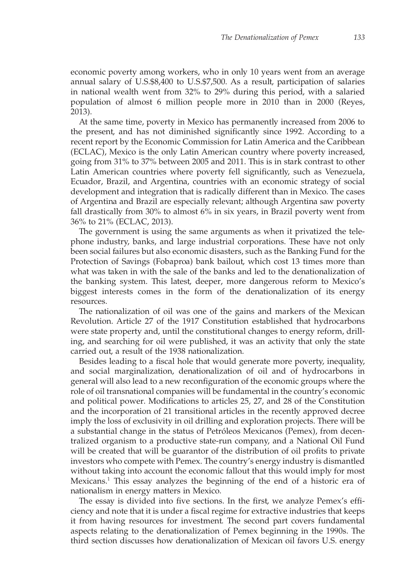economic poverty among workers, who in only 10 years went from an average annual salary of U.S.\$8,400 to U.S.\$7,500. As a result, participation of salaries in national wealth went from 32% to 29% during this period, with a salaried population of almost 6 million people more in 2010 than in 2000 (Reyes, 2013).

At the same time, poverty in Mexico has permanently increased from 2006 to the present, and has not diminished significantly since 1992. According to a recent report by the Economic Commission for Latin America and the Caribbean (ECLAC), Mexico is the only Latin American country where poverty increased, going from 31% to 37% between 2005 and 2011. This is in stark contrast to other Latin American countries where poverty fell significantly, such as Venezuela, Ecuador, Brazil, and Argentina, countries with an economic strategy of social development and integration that is radically different than in Mexico. The cases of Argentina and Brazil are especially relevant; although Argentina saw poverty fall drastically from 30% to almost 6% in six years, in Brazil poverty went from 36% to 21% (ECLAC, 2013).

The government is using the same arguments as when it privatized the telephone industry, banks, and large industrial corporations. These have not only been social failures but also economic disasters, such as the Banking Fund for the Protection of Savings (Fobaproa) bank bailout, which cost 13 times more than what was taken in with the sale of the banks and led to the denationalization of the banking system. This latest, deeper, more dangerous reform to Mexico's biggest interests comes in the form of the denationalization of its energy resources.

The nationalization of oil was one of the gains and markers of the Mexican Revolution. Article 27 of the 1917 Constitution established that hydrocarbons were state property and, until the constitutional changes to energy reform, drilling, and searching for oil were published, it was an activity that only the state carried out, a result of the 1938 nationalization.

Besides leading to a fiscal hole that would generate more poverty, inequality, and social marginalization, denationalization of oil and of hydrocarbons in general will also lead to a new reconfiguration of the economic groups where the role of oil transnational companies will be fundamental in the country's economic and political power. Modifications to articles 25, 27, and 28 of the Constitution and the incorporation of 21 transitional articles in the recently approved decree imply the loss of exclusivity in oil drilling and exploration projects. There will be a substantial change in the status of Petróleos Mexicanos (Pemex), from decentralized organism to a productive state-run company, and a National Oil Fund will be created that will be guarantor of the distribution of oil profits to private investors who compete with Pemex. The country's energy industry is dismantled without taking into account the economic fallout that this would imply for most Mexicans.1 This essay analyzes the beginning of the end of a historic era of nationalism in energy matters in Mexico.

The essay is divided into five sections. In the first, we analyze Pemex's efficiency and note that it is under a fiscal regime for extractive industries that keeps it from having resources for investment. The second part covers fundamental aspects relating to the denationalization of Pemex beginning in the 1990s. The third section discusses how denationalization of Mexican oil favors U.S. energy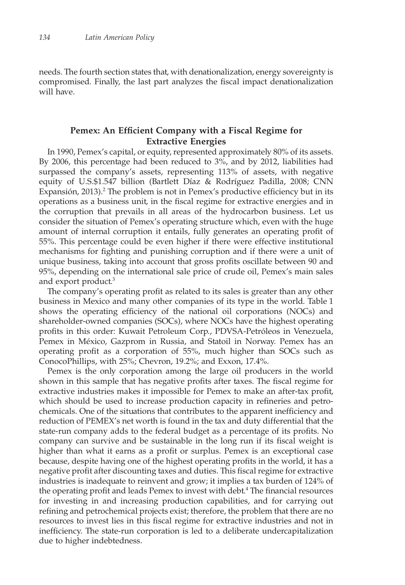needs. The fourth section states that, with denationalization, energy sovereignty is compromised. Finally, the last part analyzes the fiscal impact denationalization will have.

### **Pemex: An Efficient Company with a Fiscal Regime for Extractive Energies**

In 1990, Pemex's capital, or equity, represented approximately 80% of its assets. By 2006, this percentage had been reduced to 3%, and by 2012, liabilities had surpassed the company's assets, representing 113% of assets, with negative equity of U.S.\$1.547 billion (Bartlett Díaz & Rodríguez Padilla, 2008; CNN Expansión, 2013).<sup>2</sup> The problem is not in Pemex's productive efficiency but in its operations as a business unit, in the fiscal regime for extractive energies and in the corruption that prevails in all areas of the hydrocarbon business. Let us consider the situation of Pemex's operating structure which, even with the huge amount of internal corruption it entails, fully generates an operating profit of 55%. This percentage could be even higher if there were effective institutional mechanisms for fighting and punishing corruption and if there were a unit of unique business, taking into account that gross profits oscillate between 90 and 95%, depending on the international sale price of crude oil, Pemex's main sales and export product.<sup>3</sup>

The company's operating profit as related to its sales is greater than any other business in Mexico and many other companies of its type in the world. Table 1 shows the operating efficiency of the national oil corporations (NOCs) and shareholder-owned companies (SOCs), where NOCs have the highest operating profits in this order: Kuwait Petroleum Corp., PDVSA-Petróleos in Venezuela, Pemex in México, Gazprom in Russia, and Statoil in Norway. Pemex has an operating profit as a corporation of 55%, much higher than SOCs such as ConocoPhillips, with 25%; Chevron, 19.2%; and Exxon, 17.4%.

Pemex is the only corporation among the large oil producers in the world shown in this sample that has negative profits after taxes. The fiscal regime for extractive industries makes it impossible for Pemex to make an after-tax profit, which should be used to increase production capacity in refineries and petrochemicals. One of the situations that contributes to the apparent inefficiency and reduction of PEMEX's net worth is found in the tax and duty differential that the state-run company adds to the federal budget as a percentage of its profits. No company can survive and be sustainable in the long run if its fiscal weight is higher than what it earns as a profit or surplus. Pemex is an exceptional case because, despite having one of the highest operating profits in the world, it has a negative profit after discounting taxes and duties. This fiscal regime for extractive industries is inadequate to reinvent and grow; it implies a tax burden of 124% of the operating profit and leads Pemex to invest with debt.4 The financial resources for investing in and increasing production capabilities, and for carrying out refining and petrochemical projects exist; therefore, the problem that there are no resources to invest lies in this fiscal regime for extractive industries and not in inefficiency. The state-run corporation is led to a deliberate undercapitalization due to higher indebtedness.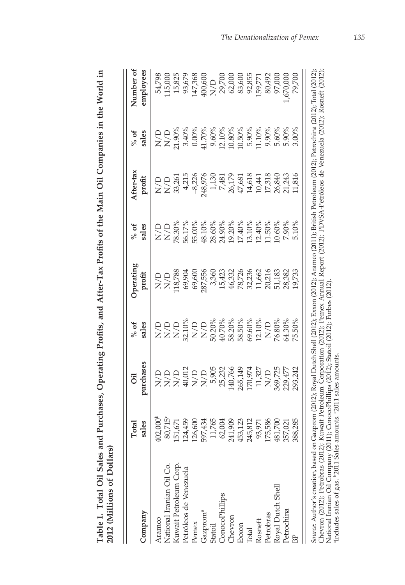| Company                  | sales<br>Total | purchases<br>öï                   | sales<br>% of                                                                                                                                     | Operating<br>profit | sales<br>% of    | After-tax<br>profit                                       | sales<br>$%$ of                                                                               | Number of<br>employees |
|--------------------------|----------------|-----------------------------------|---------------------------------------------------------------------------------------------------------------------------------------------------|---------------------|------------------|-----------------------------------------------------------|-----------------------------------------------------------------------------------------------|------------------------|
| Aramco                   | 402,000        |                                   |                                                                                                                                                   | $\frac{D}{N}$       | $\frac{D}{Z}$    |                                                           | $\frac{1}{2}$                                                                                 | 54,798                 |
| National Iranian Oil Co. | 80,715         |                                   |                                                                                                                                                   | $\rm N/D$           | N/D              |                                                           |                                                                                               | 15,000                 |
| Kuwait Petroleum Corp.   | [51,67]        | <b>ARASAR</b><br>SERSAR<br>SERSAR | ND<br>ND<br>ND<br>NN 20%<br>NN 20%                                                                                                                | 18,788              | 78.30%           | ND<br>ND<br>NS,261<br>33,261                              | $\begin{array}{c} \text{N/D} \\ \text{21.90\%} \\ \text{3.40\%} \\ \text{0.00\%} \end{array}$ | 15,825                 |
| Petróleos de Venezuela   | 24,459         |                                   |                                                                                                                                                   | 69,904              | 56.17%           | 4,215                                                     |                                                                                               | 93,679                 |
| Pemex                    | 126,600        |                                   |                                                                                                                                                   | 69,600              | 55.00%           | $-8,226$                                                  |                                                                                               | 147,368                |
| Gazpromª                 | 597,434        |                                   | $\begin{array}{l} \text{N/D} \\ \text{N/D} \\ \text{S0.20\%} \\ \text{S0.20\%} \\ \text{S8.50\%} \\ \text{S8.50\%} \\ \text{S8.50\%} \end{array}$ | 287,556             | 48.10%           | 148,976                                                   | 41.70%                                                                                        | 100,600                |
| Statoil                  | 11,765         | 5,905                             |                                                                                                                                                   | 3,360               | 28.60%           | 1,130                                                     | 9.60%                                                                                         | $\frac{D}{N}$          |
| ConocoPhillips           | 62,004         | 25,232                            |                                                                                                                                                   | 15,423              | 24.90%           |                                                           |                                                                                               | 29,700                 |
| Chevron                  | 141,909        | 140,766                           |                                                                                                                                                   | 46,332              |                  | 7,481<br>26,179                                           | $12.10\%$<br>$10.80\%$                                                                        | 62,000                 |
| Exxon                    | 153,123        | 265,149                           |                                                                                                                                                   | 78,726              | 19.20%<br>17.40% | 47,681                                                    | 10.50%                                                                                        | 83,600                 |
| Total                    | 245,812        | 170,974                           | 69.60%                                                                                                                                            | 32,236              | 13.10%           |                                                           | 5.90%                                                                                         | 92,855                 |
| Rosneft                  | 93,971         | 11,327                            | 12.10%                                                                                                                                            | 11,662              | 12.40%           | $\begin{array}{c} 14,618 \\ 10,441 \\ 17,318 \end{array}$ | 11.10%                                                                                        | 159,771                |
| Petrobras                | 175,586        | N/D                               | $\frac{D}{N}$                                                                                                                                     | 20,216              | 11.50%           |                                                           | 9.90%                                                                                         | 80,492                 |
| Royal Dutch Shell        | 181,700        | 369,725                           | 76.80%                                                                                                                                            | 51,183              | 10.60%           |                                                           | 5.60%                                                                                         | 97,000                 |
| Petrochina               | 357,027        | 229,477                           | 64.30%                                                                                                                                            | 28,382              | 7.90%            | 26,840<br>21,243                                          | 5.90%                                                                                         | ,670,000               |
|                          | 88,285         | 293,242                           | 75.50%                                                                                                                                            | 19,733              | 5.10%            | 11,816                                                    | 3.00%                                                                                         | 79,700                 |

Table 1. Total Oil Sales and Purchases, Operating Profits, and After-Tax Profits of the Main Oil Companies in the World in Table 1. Total Oil Sales and Purchases, Operating Profits, and After-Tax Profits of the Main Oil Companies in the World in 2012 (Millions of Dollars) **2012 (Millions of Dollars)**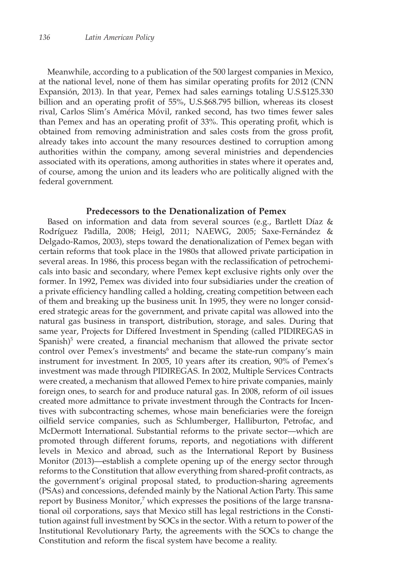Meanwhile, according to a publication of the 500 largest companies in Mexico, at the national level, none of them has similar operating profits for 2012 (CNN Expansión, 2013). In that year, Pemex had sales earnings totaling U.S.\$125.330 billion and an operating profit of 55%, U.S.\$68.795 billion, whereas its closest rival, Carlos Slim's América Móvil, ranked second, has two times fewer sales than Pemex and has an operating profit of 33%. This operating profit, which is obtained from removing administration and sales costs from the gross profit, already takes into account the many resources destined to corruption among authorities within the company, among several ministries and dependencies associated with its operations, among authorities in states where it operates and, of course, among the union and its leaders who are politically aligned with the federal government.

### **Predecessors to the Denationalization of Pemex**

Based on information and data from several sources (e.g., Bartlett Díaz & Rodríguez Padilla, 2008; Heigl, 2011; NAEWG, 2005; Saxe-Fernández & Delgado-Ramos, 2003), steps toward the denationalization of Pemex began with certain reforms that took place in the 1980s that allowed private participation in several areas. In 1986, this process began with the reclassification of petrochemicals into basic and secondary, where Pemex kept exclusive rights only over the former. In 1992, Pemex was divided into four subsidiaries under the creation of a private efficiency handling called a holding, creating competition between each of them and breaking up the business unit. In 1995, they were no longer considered strategic areas for the government, and private capital was allowed into the natural gas business in transport, distribution, storage, and sales. During that same year, Projects for Differed Investment in Spending (called PIDIREGAS in Spanish)<sup>5</sup> were created, a financial mechanism that allowed the private sector control over Pemex's investments<sup>6</sup> and became the state-run company's main instrument for investment. In 2005, 10 years after its creation, 90% of Pemex's investment was made through PIDIREGAS. In 2002, Multiple Services Contracts were created, a mechanism that allowed Pemex to hire private companies, mainly foreign ones, to search for and produce natural gas. In 2008, reform of oil issues created more admittance to private investment through the Contracts for Incentives with subcontracting schemes, whose main beneficiaries were the foreign oilfield service companies, such as Schlumberger, Halliburton, Petrofac, and McDermott International. Substantial reforms to the private sector—which are promoted through different forums, reports, and negotiations with different levels in Mexico and abroad, such as the International Report by Business Monitor (2013)—establish a complete opening up of the energy sector through reforms to the Constitution that allow everything from shared-profit contracts, as the government's original proposal stated, to production-sharing agreements (PSAs) and concessions, defended mainly by the National Action Party. This same report by Business Monitor,<sup>7</sup> which expresses the positions of the large transnational oil corporations, says that Mexico still has legal restrictions in the Constitution against full investment by SOCs in the sector. With a return to power of the Institutional Revolutionary Party, the agreements with the SOCs to change the Constitution and reform the fiscal system have become a reality.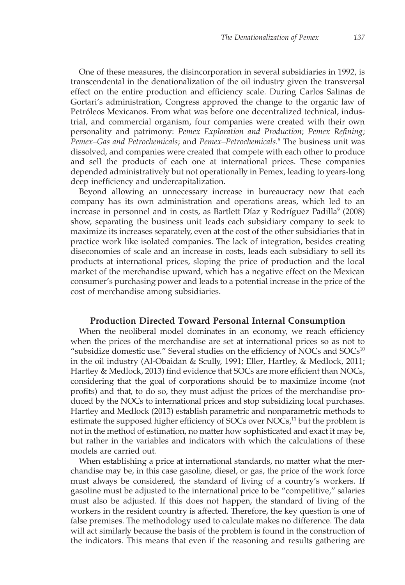One of these measures, the disincorporation in several subsidiaries in 1992, is transcendental in the denationalization of the oil industry given the transversal effect on the entire production and efficiency scale. During Carlos Salinas de Gortari's administration, Congress approved the change to the organic law of Petróleos Mexicanos. From what was before one decentralized technical, industrial, and commercial organism, four companies were created with their own personality and patrimony: *Pemex Exploration and Production*; *Pemex Refining*; *Pemex–Gas and Petrochemicals*; and *Pemex–Petrochemicals.*<sup>8</sup> The business unit was dissolved, and companies were created that compete with each other to produce and sell the products of each one at international prices. These companies depended administratively but not operationally in Pemex, leading to years-long deep inefficiency and undercapitalization.

Beyond allowing an unnecessary increase in bureaucracy now that each company has its own administration and operations areas, which led to an increase in personnel and in costs, as Bartlett Díaz y Rodríguez Padilla<sup>9</sup> (2008) show, separating the business unit leads each subsidiary company to seek to maximize its increases separately, even at the cost of the other subsidiaries that in practice work like isolated companies. The lack of integration, besides creating diseconomies of scale and an increase in costs, leads each subsidiary to sell its products at international prices, sloping the price of production and the local market of the merchandise upward, which has a negative effect on the Mexican consumer's purchasing power and leads to a potential increase in the price of the cost of merchandise among subsidiaries.

### **Production Directed Toward Personal Internal Consumption**

When the neoliberal model dominates in an economy, we reach efficiency when the prices of the merchandise are set at international prices so as not to "subsidize domestic use." Several studies on the efficiency of NOCs and  $SOCs<sup>10</sup>$ in the oil industry (Al-Obaidan & Scully, 1991; Eller, Hartley, & Medlock, 2011; Hartley & Medlock, 2013) find evidence that SOCs are more efficient than NOCs, considering that the goal of corporations should be to maximize income (not profits) and that, to do so, they must adjust the prices of the merchandise produced by the NOCs to international prices and stop subsidizing local purchases. Hartley and Medlock (2013) establish parametric and nonparametric methods to estimate the supposed higher efficiency of SOCs over NOCs,<sup>11</sup> but the problem is not in the method of estimation, no matter how sophisticated and exact it may be, but rather in the variables and indicators with which the calculations of these models are carried out.

When establishing a price at international standards, no matter what the merchandise may be, in this case gasoline, diesel, or gas, the price of the work force must always be considered, the standard of living of a country's workers. If gasoline must be adjusted to the international price to be "competitive," salaries must also be adjusted. If this does not happen, the standard of living of the workers in the resident country is affected. Therefore, the key question is one of false premises. The methodology used to calculate makes no difference. The data will act similarly because the basis of the problem is found in the construction of the indicators. This means that even if the reasoning and results gathering are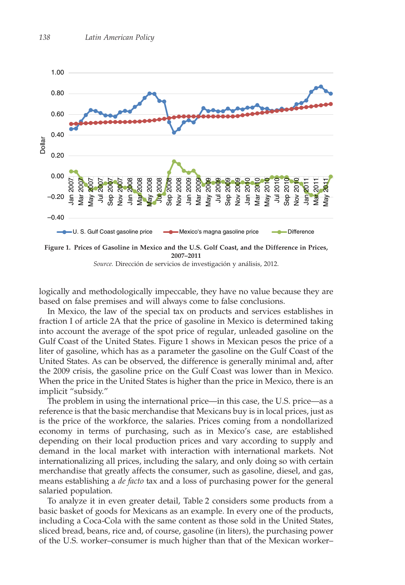

**2007–2011**



logically and methodologically impeccable, they have no value because they are based on false premises and will always come to false conclusions.

In Mexico, the law of the special tax on products and services establishes in fraction I of article 2A that the price of gasoline in Mexico is determined taking into account the average of the spot price of regular, unleaded gasoline on the Gulf Coast of the United States. Figure 1 shows in Mexican pesos the price of a liter of gasoline, which has as a parameter the gasoline on the Gulf Coast of the United States. As can be observed, the difference is generally minimal and, after the 2009 crisis, the gasoline price on the Gulf Coast was lower than in Mexico. When the price in the United States is higher than the price in Mexico, there is an implicit "subsidy."

The problem in using the international price—in this case, the U.S. price—as a reference is that the basic merchandise that Mexicans buy is in local prices, just as is the price of the workforce, the salaries. Prices coming from a nondollarized economy in terms of purchasing, such as in Mexico's case, are established depending on their local production prices and vary according to supply and demand in the local market with interaction with international markets. Not internationalizing all prices, including the salary, and only doing so with certain merchandise that greatly affects the consumer, such as gasoline, diesel, and gas, means establishing a *de facto* tax and a loss of purchasing power for the general salaried population.

To analyze it in even greater detail, Table 2 considers some products from a basic basket of goods for Mexicans as an example. In every one of the products, including a Coca-Cola with the same content as those sold in the United States, sliced bread, beans, rice and, of course, gasoline (in liters), the purchasing power of the U.S. worker–consumer is much higher than that of the Mexican worker–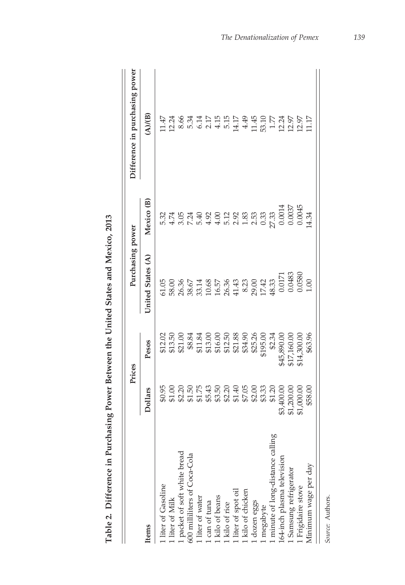|                                      |         | Prices                                                                                                                                                                                                                                                                                                                                                                          | Purchasing power  |                                                                                                                                                                                                                                                                                               | Difference in purchasing power |
|--------------------------------------|---------|---------------------------------------------------------------------------------------------------------------------------------------------------------------------------------------------------------------------------------------------------------------------------------------------------------------------------------------------------------------------------------|-------------------|-----------------------------------------------------------------------------------------------------------------------------------------------------------------------------------------------------------------------------------------------------------------------------------------------|--------------------------------|
| <b>tems</b>                          | Dollars | Pesos                                                                                                                                                                                                                                                                                                                                                                           | Jnited States (A) | Mexico (B)                                                                                                                                                                                                                                                                                    | (A)/(B)                        |
| Liter of Gasoline                    |         |                                                                                                                                                                                                                                                                                                                                                                                 |                   |                                                                                                                                                                                                                                                                                               |                                |
| 1 liter of Milk                      |         | $\begin{array}{l} 612.02 \\ 613.50 \\ 621.08 \\ \end{array} \begin{array}{l} 612.02 \\ 613.50 \\ 613.50 \\ \end{array} \begin{array}{l} 613.50 \\ 613.50 \\ 613.50 \\ \end{array} \begin{array}{l} 613.50 \\ 613.50 \\ 613.50 \\ \end{array} \begin{array}{l} 613.50 \\ 613.50 \\ \end{array} \begin{array}{l} 613.50 \\ 613.50 \\ \end{array} \begin{array}{l} 613.50 \\ 613.$ |                   | $\begin{array}{l} 0.4 \pm 0.4 \pm 0.000 \\ 0.4 \pm 0.000 \\ 0.0000 \\ 0.0000 \\ 0.0000 \\ 0.0000 \\ 0.0000 \\ 0.0000 \\ 0.0000 \\ 0.0000 \\ 0.0000 \\ 0.0000 \\ 0.0000 \\ 0.0000 \\ 0.0000 \\ 0.0000 \\ 0.0000 \\ 0.0000 \\ 0.0000 \\ 0.0000 \\ 0.0000 \\ 0.0000 \\ 0.0000 \\ 0.0000 \\ 0.00$ |                                |
| packet of soft white bread           |         |                                                                                                                                                                                                                                                                                                                                                                                 |                   |                                                                                                                                                                                                                                                                                               |                                |
| 600 milliliters of Coca-Cola         |         |                                                                                                                                                                                                                                                                                                                                                                                 |                   |                                                                                                                                                                                                                                                                                               |                                |
| 1 liter of water                     |         |                                                                                                                                                                                                                                                                                                                                                                                 |                   |                                                                                                                                                                                                                                                                                               |                                |
| l can of tuna                        |         |                                                                                                                                                                                                                                                                                                                                                                                 |                   |                                                                                                                                                                                                                                                                                               |                                |
| 1 kilo of beans                      |         |                                                                                                                                                                                                                                                                                                                                                                                 |                   |                                                                                                                                                                                                                                                                                               |                                |
| 1 kilo of rice                       |         |                                                                                                                                                                                                                                                                                                                                                                                 |                   |                                                                                                                                                                                                                                                                                               |                                |
| 1 liter of spot oil                  |         |                                                                                                                                                                                                                                                                                                                                                                                 |                   |                                                                                                                                                                                                                                                                                               |                                |
| 1 kilo of chicken                    |         |                                                                                                                                                                                                                                                                                                                                                                                 |                   |                                                                                                                                                                                                                                                                                               |                                |
| dozen eggs                           |         |                                                                                                                                                                                                                                                                                                                                                                                 |                   |                                                                                                                                                                                                                                                                                               |                                |
| megabyte                             |         |                                                                                                                                                                                                                                                                                                                                                                                 |                   |                                                                                                                                                                                                                                                                                               |                                |
| ρÒ<br>minute of long-distance callin |         |                                                                                                                                                                                                                                                                                                                                                                                 |                   |                                                                                                                                                                                                                                                                                               |                                |
| 164-inch plasma television           |         |                                                                                                                                                                                                                                                                                                                                                                                 |                   |                                                                                                                                                                                                                                                                                               |                                |
| Samsung refrigerator                 |         |                                                                                                                                                                                                                                                                                                                                                                                 |                   |                                                                                                                                                                                                                                                                                               |                                |
| <b>Frigidaire</b> stove              |         |                                                                                                                                                                                                                                                                                                                                                                                 |                   |                                                                                                                                                                                                                                                                                               |                                |
| Minimum wage per day                 | \$58.00 | \$63.96                                                                                                                                                                                                                                                                                                                                                                         |                   |                                                                                                                                                                                                                                                                                               |                                |

Table 2. Difference in Purchasing Power Between the United States and Mexico, 2013 Table 2. Difference in Purchasing Power Between the United States and Mexico, 2013

Source: Authors. *Source:* Authors.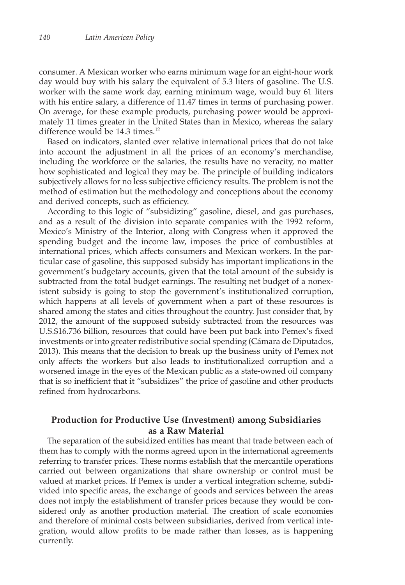consumer. A Mexican worker who earns minimum wage for an eight-hour work day would buy with his salary the equivalent of 5.3 liters of gasoline. The U.S. worker with the same work day, earning minimum wage, would buy 61 liters with his entire salary, a difference of 11.47 times in terms of purchasing power. On average, for these example products, purchasing power would be approximately 11 times greater in the United States than in Mexico, whereas the salary difference would be 14.3 times.<sup>12</sup>

Based on indicators, slanted over relative international prices that do not take into account the adjustment in all the prices of an economy's merchandise, including the workforce or the salaries, the results have no veracity, no matter how sophisticated and logical they may be. The principle of building indicators subjectively allows for no less subjective efficiency results. The problem is not the method of estimation but the methodology and conceptions about the economy and derived concepts, such as efficiency.

According to this logic of "subsidizing" gasoline, diesel, and gas purchases, and as a result of the division into separate companies with the 1992 reform, Mexico's Ministry of the Interior, along with Congress when it approved the spending budget and the income law, imposes the price of combustibles at international prices, which affects consumers and Mexican workers. In the particular case of gasoline, this supposed subsidy has important implications in the government's budgetary accounts, given that the total amount of the subsidy is subtracted from the total budget earnings. The resulting net budget of a nonexistent subsidy is going to stop the government's institutionalized corruption, which happens at all levels of government when a part of these resources is shared among the states and cities throughout the country. Just consider that, by 2012, the amount of the supposed subsidy subtracted from the resources was U.S.\$16.736 billion, resources that could have been put back into Pemex's fixed investments or into greater redistributive social spending (Cámara de Diputados, 2013). This means that the decision to break up the business unity of Pemex not only affects the workers but also leads to institutionalized corruption and a worsened image in the eyes of the Mexican public as a state-owned oil company that is so inefficient that it "subsidizes" the price of gasoline and other products refined from hydrocarbons.

### **Production for Productive Use (Investment) among Subsidiaries as a Raw Material**

The separation of the subsidized entities has meant that trade between each of them has to comply with the norms agreed upon in the international agreements referring to transfer prices. These norms establish that the mercantile operations carried out between organizations that share ownership or control must be valued at market prices. If Pemex is under a vertical integration scheme, subdivided into specific areas, the exchange of goods and services between the areas does not imply the establishment of transfer prices because they would be considered only as another production material. The creation of scale economies and therefore of minimal costs between subsidiaries, derived from vertical integration, would allow profits to be made rather than losses, as is happening currently.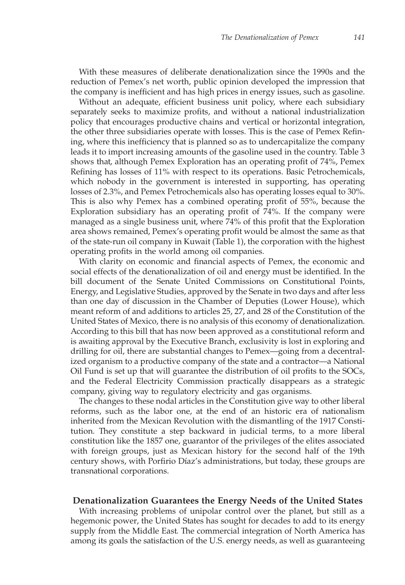With these measures of deliberate denationalization since the 1990s and the reduction of Pemex's net worth, public opinion developed the impression that the company is inefficient and has high prices in energy issues, such as gasoline.

Without an adequate, efficient business unit policy, where each subsidiary separately seeks to maximize profits, and without a national industrialization policy that encourages productive chains and vertical or horizontal integration, the other three subsidiaries operate with losses. This is the case of Pemex Refining, where this inefficiency that is planned so as to undercapitalize the company leads it to import increasing amounts of the gasoline used in the country. Table 3 shows that, although Pemex Exploration has an operating profit of 74%, Pemex Refining has losses of 11% with respect to its operations. Basic Petrochemicals, which nobody in the government is interested in supporting, has operating losses of 2.3%, and Pemex Petrochemicals also has operating losses equal to 30%. This is also why Pemex has a combined operating profit of 55%, because the Exploration subsidiary has an operating profit of 74%. If the company were managed as a single business unit, where 74% of this profit that the Exploration area shows remained, Pemex's operating profit would be almost the same as that of the state-run oil company in Kuwait (Table 1), the corporation with the highest operating profits in the world among oil companies.

With clarity on economic and financial aspects of Pemex, the economic and social effects of the denationalization of oil and energy must be identified. In the bill document of the Senate United Commissions on Constitutional Points, Energy, and Legislative Studies, approved by the Senate in two days and after less than one day of discussion in the Chamber of Deputies (Lower House), which meant reform of and additions to articles 25, 27, and 28 of the Constitution of the United States of Mexico, there is no analysis of this economy of denationalization. According to this bill that has now been approved as a constitutional reform and is awaiting approval by the Executive Branch, exclusivity is lost in exploring and drilling for oil, there are substantial changes to Pemex—going from a decentralized organism to a productive company of the state and a contractor—a National Oil Fund is set up that will guarantee the distribution of oil profits to the SOCs, and the Federal Electricity Commission practically disappears as a strategic company, giving way to regulatory electricity and gas organisms.

The changes to these nodal articles in the Constitution give way to other liberal reforms, such as the labor one, at the end of an historic era of nationalism inherited from the Mexican Revolution with the dismantling of the 1917 Constitution. They constitute a step backward in judicial terms, to a more liberal constitution like the 1857 one, guarantor of the privileges of the elites associated with foreign groups, just as Mexican history for the second half of the 19th century shows, with Porfirio Díaz's administrations, but today, these groups are transnational corporations.

### **Denationalization Guarantees the Energy Needs of the United States**

With increasing problems of unipolar control over the planet, but still as a hegemonic power, the United States has sought for decades to add to its energy supply from the Middle East. The commercial integration of North America has among its goals the satisfaction of the U.S. energy needs, as well as guaranteeing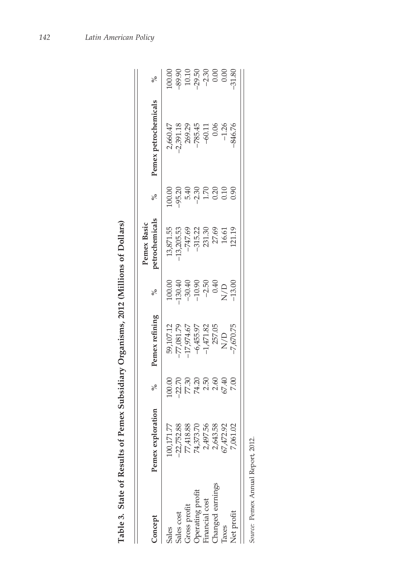|                                                                  |                                                                               |                                                                   |                                                                             |                                                                                                                   | Pemex Basic                                                                                                                      |                                                            |                                                              |                                                                                                                                                                                                                                                                                                                                              |
|------------------------------------------------------------------|-------------------------------------------------------------------------------|-------------------------------------------------------------------|-----------------------------------------------------------------------------|-------------------------------------------------------------------------------------------------------------------|----------------------------------------------------------------------------------------------------------------------------------|------------------------------------------------------------|--------------------------------------------------------------|----------------------------------------------------------------------------------------------------------------------------------------------------------------------------------------------------------------------------------------------------------------------------------------------------------------------------------------------|
| Joncept                                                          | Pemex exploration                                                             | ৺৽                                                                | Pemex refining                                                              | $\frac{5}{6}$                                                                                                     | petrochemicals                                                                                                                   | ৺৽                                                         | Pemex petrochemicals                                         | $\frac{6}{6}$                                                                                                                                                                                                                                                                                                                                |
| sales                                                            |                                                                               |                                                                   |                                                                             |                                                                                                                   |                                                                                                                                  |                                                            |                                                              |                                                                                                                                                                                                                                                                                                                                              |
|                                                                  |                                                                               |                                                                   |                                                                             |                                                                                                                   |                                                                                                                                  | $00.00$<br>$95.40$<br>$0.40$<br>$0.30$<br>$0.40$<br>$0.50$ |                                                              |                                                                                                                                                                                                                                                                                                                                              |
| Sales cost<br>Gross profit<br>Operating profit<br>Financial cost |                                                                               |                                                                   |                                                                             |                                                                                                                   |                                                                                                                                  |                                                            |                                                              |                                                                                                                                                                                                                                                                                                                                              |
|                                                                  | 100,171.77<br>-22,752.88<br>-22,752.88<br>-2,497.56<br>-2,497.58<br>-2,472.92 | 00.00<br>00.20.20.00.00<br>00.20.20.20.20.20<br>00.20.20.20.20.20 | 59,107.12<br>-77,081.79<br>-17,974.67<br>-1471.82<br>-7,670.75<br>-7,670.75 | $\begin{array}{c} 100.00 \\ -130.40 \\ -30.40 \\ -10.90 \\ -10.30 \\ \hline 0.40 \\ 0.40 \\ \hline X \end{array}$ | $\begin{array}{l} 13,871.55 \\ 13,205.53 \\ -747.69 \\ -747.69 \\ -315.22 \\ 231.30 \\ 231.30 \\ 16.61 \\ 121.19 \\ \end{array}$ |                                                            | 2,660.47<br>2,391.18<br>269.29<br>269.29<br>--1.26<br>--1.26 | $\begin{array}{l} 0.00 \\ 0.00 \\ 0.00 \\ -0.00 \\ -0.00 \\ -0.00 \\ 0.00 \\ -0.00 \\ -0.00 \\ 0.00 \\ -0.00 \\ -0.00 \\ -0.00 \\ -0.00 \\ -0.00 \\ -0.00 \\ -0.00 \\ -0.00 \\ -0.00 \\ -0.00 \\ -0.00 \\ -0.00 \\ -0.00 \\ -0.00 \\ -0.00 \\ -0.00 \\ -0.00 \\ -0.00 \\ -0.00 \\ -0.00 \\ -0.00 \\ -0.00 \\ -0.00 \\ -0.00 \\ -0.00 \\ -0.$ |
|                                                                  |                                                                               |                                                                   |                                                                             |                                                                                                                   |                                                                                                                                  | $\begin{array}{c} 1.70 \\ 0.20 \\ 0.10 \end{array}$        |                                                              |                                                                                                                                                                                                                                                                                                                                              |
| Thanged earnings                                                 |                                                                               |                                                                   |                                                                             |                                                                                                                   |                                                                                                                                  |                                                            |                                                              |                                                                                                                                                                                                                                                                                                                                              |
| axes                                                             |                                                                               |                                                                   |                                                                             |                                                                                                                   |                                                                                                                                  |                                                            |                                                              |                                                                                                                                                                                                                                                                                                                                              |
| <b>Net profit</b>                                                | 7,061.02                                                                      | 7.00                                                              |                                                                             |                                                                                                                   |                                                                                                                                  | 0.90                                                       | $-846.76$                                                    | $-31.80$                                                                                                                                                                                                                                                                                                                                     |
|                                                                  |                                                                               |                                                                   |                                                                             |                                                                                                                   |                                                                                                                                  |                                                            |                                                              |                                                                                                                                                                                                                                                                                                                                              |

Table 3. State of Results of Pemex Subsidiary Organisms, 2012 (Millions of Dollars) Table 3. State of Results of Pemex Subsidiary Organisms, 2012 (Millions of Dollars)

Source: Pemex Annual Report, 2012. *Source:* Pemex Annual Report, 2012.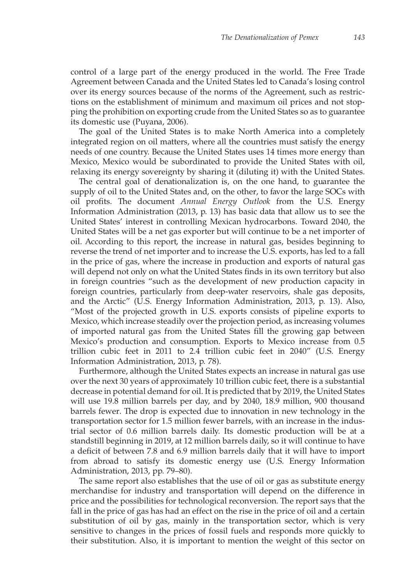control of a large part of the energy produced in the world. The Free Trade Agreement between Canada and the United States led to Canada's losing control over its energy sources because of the norms of the Agreement, such as restrictions on the establishment of minimum and maximum oil prices and not stopping the prohibition on exporting crude from the United States so as to guarantee its domestic use (Puyana, 2006).

The goal of the United States is to make North America into a completely integrated region on oil matters, where all the countries must satisfy the energy needs of one country. Because the United States uses 14 times more energy than Mexico, Mexico would be subordinated to provide the United States with oil, relaxing its energy sovereignty by sharing it (diluting it) with the United States.

The central goal of denationalization is, on the one hand, to guarantee the supply of oil to the United States and, on the other, to favor the large SOCs with oil profits. The document *Annual Energy Outlook* from the U.S. Energy Information Administration (2013, p. 13) has basic data that allow us to see the United States' interest in controlling Mexican hydrocarbons. Toward 2040, the United States will be a net gas exporter but will continue to be a net importer of oil. According to this report, the increase in natural gas, besides beginning to reverse the trend of net importer and to increase the U.S. exports, has led to a fall in the price of gas, where the increase in production and exports of natural gas will depend not only on what the United States finds in its own territory but also in foreign countries "such as the development of new production capacity in foreign countries, particularly from deep-water reservoirs, shale gas deposits, and the Arctic" (U.S. Energy Information Administration, 2013, p. 13). Also, "Most of the projected growth in U.S. exports consists of pipeline exports to Mexico, which increase steadily over the projection period, as increasing volumes of imported natural gas from the United States fill the growing gap between Mexico's production and consumption. Exports to Mexico increase from 0.5 trillion cubic feet in 2011 to 2.4 trillion cubic feet in 2040" (U.S. Energy Information Administration, 2013, p. 78).

Furthermore, although the United States expects an increase in natural gas use over the next 30 years of approximately 10 trillion cubic feet, there is a substantial decrease in potential demand for oil. It is predicted that by 2019, the United States will use 19.8 million barrels per day, and by 2040, 18.9 million, 900 thousand barrels fewer. The drop is expected due to innovation in new technology in the transportation sector for 1.5 million fewer barrels, with an increase in the industrial sector of 0.6 million barrels daily. Its domestic production will be at a standstill beginning in 2019, at 12 million barrels daily, so it will continue to have a deficit of between 7.8 and 6.9 million barrels daily that it will have to import from abroad to satisfy its domestic energy use (U.S. Energy Information Administration, 2013, pp. 79–80).

The same report also establishes that the use of oil or gas as substitute energy merchandise for industry and transportation will depend on the difference in price and the possibilities for technological reconversion. The report says that the fall in the price of gas has had an effect on the rise in the price of oil and a certain substitution of oil by gas, mainly in the transportation sector, which is very sensitive to changes in the prices of fossil fuels and responds more quickly to their substitution. Also, it is important to mention the weight of this sector on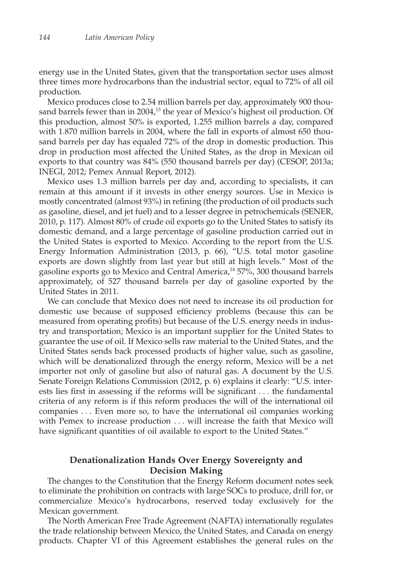energy use in the United States, given that the transportation sector uses almost three times more hydrocarbons than the industrial sector, equal to 72% of all oil production.

Mexico produces close to 2.54 million barrels per day, approximately 900 thousand barrels fewer than in 2004,<sup>13</sup> the year of Mexico's highest oil production. Of this production, almost 50% is exported, 1.255 million barrels a day, compared with 1.870 million barrels in 2004, where the fall in exports of almost 650 thousand barrels per day has equaled 72% of the drop in domestic production. This drop in production most affected the United States, as the drop in Mexican oil exports to that country was 84% (550 thousand barrels per day) (CESOP, 2013a; INEGI, 2012; Pemex Annual Report, 2012).

Mexico uses 1.3 million barrels per day and, according to specialists, it can remain at this amount if it invests in other energy sources. Use in Mexico is mostly concentrated (almost 93%) in refining (the production of oil products such as gasoline, diesel, and jet fuel) and to a lesser degree in petrochemicals (SENER, 2010, p. 117). Almost 80% of crude oil exports go to the United States to satisfy its domestic demand, and a large percentage of gasoline production carried out in the United States is exported to Mexico. According to the report from the U.S. Energy Information Administration (2013, p. 66), "U.S. total motor gasoline exports are down slightly from last year but still at high levels." Most of the gasoline exports go to Mexico and Central America,<sup>14</sup> 57%, 300 thousand barrels approximately, of 527 thousand barrels per day of gasoline exported by the United States in 2011.

We can conclude that Mexico does not need to increase its oil production for domestic use because of supposed efficiency problems (because this can be measured from operating profits) but because of the U.S. energy needs in industry and transportation; Mexico is an important supplier for the United States to guarantee the use of oil. If Mexico sells raw material to the United States, and the United States sends back processed products of higher value, such as gasoline, which will be denationalized through the energy reform, Mexico will be a net importer not only of gasoline but also of natural gas. A document by the U.S. Senate Foreign Relations Commission (2012, p. 6) explains it clearly: "U.S. interests lies first in assessing if the reforms will be significant . . . the fundamental criteria of any reform is if this reform produces the will of the international oil companies . . . Even more so, to have the international oil companies working with Pemex to increase production ... will increase the faith that Mexico will have significant quantities of oil available to export to the United States."

### **Denationalization Hands Over Energy Sovereignty and Decision Making**

The changes to the Constitution that the Energy Reform document notes seek to eliminate the prohibition on contracts with large SOCs to produce, drill for, or commercialize Mexico's hydrocarbons, reserved today exclusively for the Mexican government.

The North American Free Trade Agreement (NAFTA) internationally regulates the trade relationship between Mexico, the United States, and Canada on energy products. Chapter VI of this Agreement establishes the general rules on the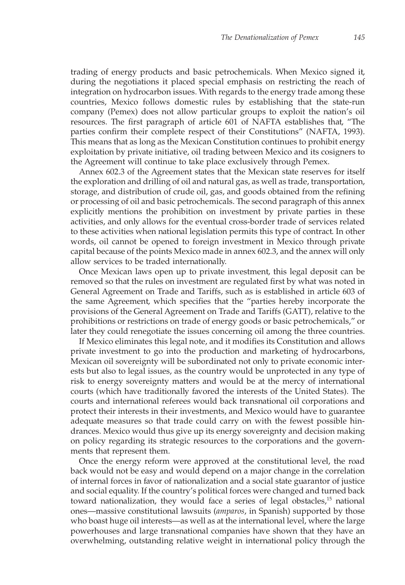trading of energy products and basic petrochemicals. When Mexico signed it, during the negotiations it placed special emphasis on restricting the reach of integration on hydrocarbon issues. With regards to the energy trade among these countries, Mexico follows domestic rules by establishing that the state-run company (Pemex) does not allow particular groups to exploit the nation's oil resources. The first paragraph of article 601 of NAFTA establishes that, "The parties confirm their complete respect of their Constitutions" (NAFTA, 1993). This means that as long as the Mexican Constitution continues to prohibit energy exploitation by private initiative, oil trading between Mexico and its cosigners to the Agreement will continue to take place exclusively through Pemex.

Annex 602.3 of the Agreement states that the Mexican state reserves for itself the exploration and drilling of oil and natural gas, as well as trade, transportation, storage, and distribution of crude oil, gas, and goods obtained from the refining or processing of oil and basic petrochemicals. The second paragraph of this annex explicitly mentions the prohibition on investment by private parties in these activities, and only allows for the eventual cross-border trade of services related to these activities when national legislation permits this type of contract. In other words, oil cannot be opened to foreign investment in Mexico through private capital because of the points Mexico made in annex 602.3, and the annex will only allow services to be traded internationally.

Once Mexican laws open up to private investment, this legal deposit can be removed so that the rules on investment are regulated first by what was noted in General Agreement on Trade and Tariffs, such as is established in article 603 of the same Agreement, which specifies that the "parties hereby incorporate the provisions of the General Agreement on Trade and Tariffs (GATT), relative to the prohibitions or restrictions on trade of energy goods or basic petrochemicals," or later they could renegotiate the issues concerning oil among the three countries.

If Mexico eliminates this legal note, and it modifies its Constitution and allows private investment to go into the production and marketing of hydrocarbons, Mexican oil sovereignty will be subordinated not only to private economic interests but also to legal issues, as the country would be unprotected in any type of risk to energy sovereignty matters and would be at the mercy of international courts (which have traditionally favored the interests of the United States). The courts and international referees would back transnational oil corporations and protect their interests in their investments, and Mexico would have to guarantee adequate measures so that trade could carry on with the fewest possible hindrances. Mexico would thus give up its energy sovereignty and decision making on policy regarding its strategic resources to the corporations and the governments that represent them.

Once the energy reform were approved at the constitutional level, the road back would not be easy and would depend on a major change in the correlation of internal forces in favor of nationalization and a social state guarantor of justice and social equality. If the country's political forces were changed and turned back toward nationalization, they would face a series of legal obstacles,<sup>15</sup> national ones—massive constitutional lawsuits (*amparos*, in Spanish) supported by those who boast huge oil interests—as well as at the international level, where the large powerhouses and large transnational companies have shown that they have an overwhelming, outstanding relative weight in international policy through the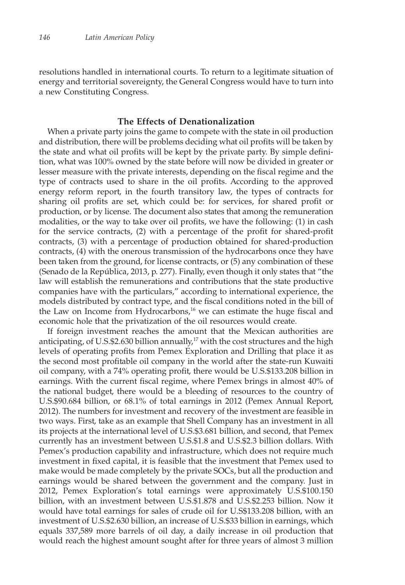resolutions handled in international courts. To return to a legitimate situation of energy and territorial sovereignty, the General Congress would have to turn into a new Constituting Congress.

### **The Effects of Denationalization**

When a private party joins the game to compete with the state in oil production and distribution, there will be problems deciding what oil profits will be taken by the state and what oil profits will be kept by the private party. By simple definition, what was 100% owned by the state before will now be divided in greater or lesser measure with the private interests, depending on the fiscal regime and the type of contracts used to share in the oil profits. According to the approved energy reform report, in the fourth transitory law, the types of contracts for sharing oil profits are set, which could be: for services, for shared profit or production, or by license. The document also states that among the remuneration modalities, or the way to take over oil profits, we have the following: (1) in cash for the service contracts, (2) with a percentage of the profit for shared-profit contracts, (3) with a percentage of production obtained for shared-production contracts, (4) with the onerous transmission of the hydrocarbons once they have been taken from the ground, for license contracts, or (5) any combination of these (Senado de la República, 2013, p. 277). Finally, even though it only states that "the law will establish the remunerations and contributions that the state productive companies have with the particulars," according to international experience, the models distributed by contract type, and the fiscal conditions noted in the bill of the Law on Income from Hydrocarbons,<sup>16</sup> we can estimate the huge fiscal and economic hole that the privatization of the oil resources would create.

If foreign investment reaches the amount that the Mexican authorities are anticipating, of U.S.\$2.630 billion annually,<sup>17</sup> with the cost structures and the high levels of operating profits from Pemex Exploration and Drilling that place it as the second most profitable oil company in the world after the state-run Kuwaiti oil company, with a 74% operating profit, there would be U.S.\$133.208 billion in earnings. With the current fiscal regime, where Pemex brings in almost 40% of the national budget, there would be a bleeding of resources to the country of U.S.\$90.684 billion, or 68.1% of total earnings in 2012 (Pemex Annual Report, 2012). The numbers for investment and recovery of the investment are feasible in two ways. First, take as an example that Shell Company has an investment in all its projects at the international level of U.S.\$3.681 billion, and second, that Pemex currently has an investment between U.S.\$1.8 and U.S.\$2.3 billion dollars. With Pemex's production capability and infrastructure, which does not require much investment in fixed capital, it is feasible that the investment that Pemex used to make would be made completely by the private SOCs, but all the production and earnings would be shared between the government and the company. Just in 2012, Pemex Exploration's total earnings were approximately U.S.\$100.150 billion, with an investment between U.S.\$1.878 and U.S.\$2.253 billion. Now it would have total earnings for sales of crude oil for U.S\$133.208 billion, with an investment of U.S.\$2.630 billion, an increase of U.S.\$33 billion in earnings, which equals 337,589 more barrels of oil day, a daily increase in oil production that would reach the highest amount sought after for three years of almost 3 million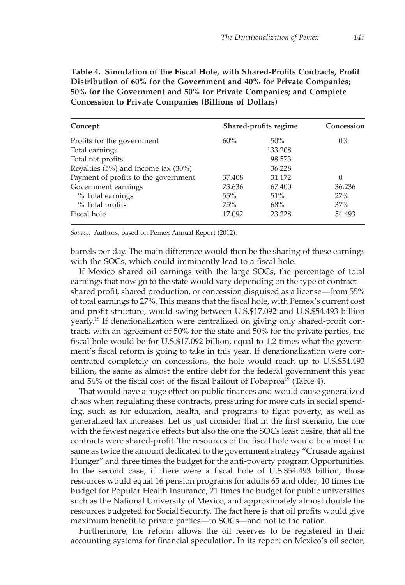**Table 4. Simulation of the Fiscal Hole, with Shared-Profits Contracts, Profit Distribution of 60% for the Government and 40% for Private Companies; 50% for the Government and 50% for Private Companies; and Complete Concession to Private Companies (Billions of Dollars)**

| Concept                                   |        | Shared-profits regime | Concession |
|-------------------------------------------|--------|-----------------------|------------|
| Profits for the government                | 60%    | 50%                   | $0\%$      |
| Total earnings                            |        | 133.208               |            |
| Total net profits                         |        | 98.573                |            |
| Royalties $(5\%)$ and income tax $(30\%)$ |        | 36.228                |            |
| Payment of profits to the government      | 37.408 | 31.172                | $\Omega$   |
| Government earnings                       | 73.636 | 67.400                | 36.236     |
| % Total earnings                          | 55%    | 51%                   | 27%        |
| % Total profits                           | 75%    | 68%                   | 37%        |
| Fiscal hole                               | 17.092 | 23.328                | 54.493     |

*Source:* Authors, based on Pemex Annual Report (2012).

barrels per day. The main difference would then be the sharing of these earnings with the SOCs, which could imminently lead to a fiscal hole.

If Mexico shared oil earnings with the large SOCs, the percentage of total earnings that now go to the state would vary depending on the type of contract shared profit, shared production, or concession disguised as a license—from 55% of total earnings to 27%. This means that the fiscal hole, with Pemex's current cost and profit structure, would swing between U.S.\$17.092 and U.S.\$54.493 billion yearly.18 If denationalization were centralized on giving only shared-profit contracts with an agreement of 50% for the state and 50% for the private parties, the fiscal hole would be for U.S.\$17.092 billion, equal to 1.2 times what the government's fiscal reform is going to take in this year. If denationalization were concentrated completely on concessions, the hole would reach up to U.S.\$54.493 billion, the same as almost the entire debt for the federal government this year and 54% of the fiscal cost of the fiscal bailout of Fobaproa<sup>19</sup> (Table 4).

That would have a huge effect on public finances and would cause generalized chaos when regulating these contracts, pressuring for more cuts in social spending, such as for education, health, and programs to fight poverty, as well as generalized tax increases. Let us just consider that in the first scenario, the one with the fewest negative effects but also the one the SOCs least desire, that all the contracts were shared-profit. The resources of the fiscal hole would be almost the same as twice the amount dedicated to the government strategy "Crusade against Hunger" and three times the budget for the anti-poverty program Opportunities. In the second case, if there were a fiscal hole of U.S.\$54.493 billion, those resources would equal 16 pension programs for adults 65 and older, 10 times the budget for Popular Health Insurance, 21 times the budget for public universities such as the National University of Mexico, and approximately almost double the resources budgeted for Social Security. The fact here is that oil profits would give maximum benefit to private parties—to SOCs—and not to the nation.

Furthermore, the reform allows the oil reserves to be registered in their accounting systems for financial speculation. In its report on Mexico's oil sector,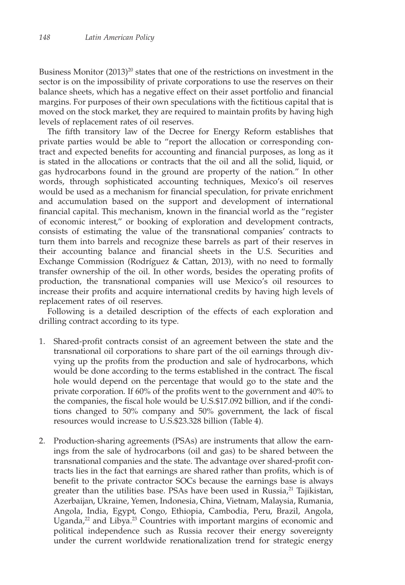Business Monitor  $(2013)^{20}$  states that one of the restrictions on investment in the sector is on the impossibility of private corporations to use the reserves on their balance sheets, which has a negative effect on their asset portfolio and financial margins. For purposes of their own speculations with the fictitious capital that is moved on the stock market, they are required to maintain profits by having high levels of replacement rates of oil reserves.

The fifth transitory law of the Decree for Energy Reform establishes that private parties would be able to "report the allocation or corresponding contract and expected benefits for accounting and financial purposes, as long as it is stated in the allocations or contracts that the oil and all the solid, liquid, or gas hydrocarbons found in the ground are property of the nation." In other words, through sophisticated accounting techniques, Mexico's oil reserves would be used as a mechanism for financial speculation, for private enrichment and accumulation based on the support and development of international financial capital. This mechanism, known in the financial world as the "register of economic interest," or booking of exploration and development contracts, consists of estimating the value of the transnational companies' contracts to turn them into barrels and recognize these barrels as part of their reserves in their accounting balance and financial sheets in the U.S. Securities and Exchange Commission (Rodríguez & Cattan, 2013), with no need to formally transfer ownership of the oil. In other words, besides the operating profits of production, the transnational companies will use Mexico's oil resources to increase their profits and acquire international credits by having high levels of replacement rates of oil reserves.

Following is a detailed description of the effects of each exploration and drilling contract according to its type.

- 1. Shared-profit contracts consist of an agreement between the state and the transnational oil corporations to share part of the oil earnings through divvying up the profits from the production and sale of hydrocarbons, which would be done according to the terms established in the contract. The fiscal hole would depend on the percentage that would go to the state and the private corporation. If 60% of the profits went to the government and 40% to the companies, the fiscal hole would be U.S.\$17.092 billion, and if the conditions changed to 50% company and 50% government, the lack of fiscal resources would increase to U.S.\$23.328 billion (Table 4).
- 2. Production-sharing agreements (PSAs) are instruments that allow the earnings from the sale of hydrocarbons (oil and gas) to be shared between the transnational companies and the state. The advantage over shared-profit contracts lies in the fact that earnings are shared rather than profits, which is of benefit to the private contractor SOCs because the earnings base is always greater than the utilities base. PSAs have been used in Russia,<sup>21</sup> Tajikistan, Azerbaijan, Ukraine, Yemen, Indonesia, China, Vietnam, Malaysia, Rumania, Angola, India, Egypt, Congo, Ethiopia, Cambodia, Peru, Brazil, Angola, Uganda, $^{22}$  and Libya. $^{23}$  Countries with important margins of economic and political independence such as Russia recover their energy sovereignty under the current worldwide renationalization trend for strategic energy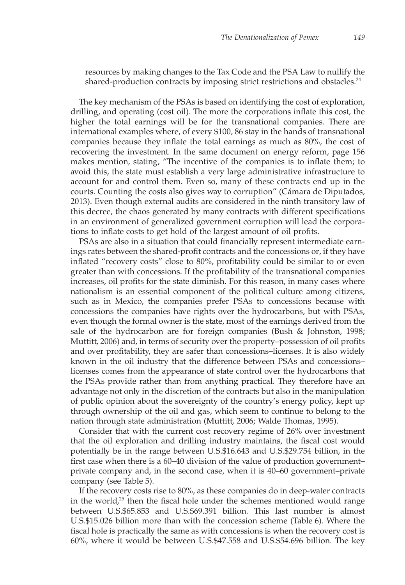resources by making changes to the Tax Code and the PSA Law to nullify the shared-production contracts by imposing strict restrictions and obstacles.<sup>24</sup>

The key mechanism of the PSAs is based on identifying the cost of exploration, drilling, and operating (cost oil). The more the corporations inflate this cost, the higher the total earnings will be for the transnational companies. There are international examples where, of every \$100, 86 stay in the hands of transnational companies because they inflate the total earnings as much as 80%, the cost of recovering the investment. In the same document on energy reform, page 156 makes mention, stating, "The incentive of the companies is to inflate them; to avoid this, the state must establish a very large administrative infrastructure to account for and control them. Even so, many of these contracts end up in the courts. Counting the costs also gives way to corruption" (Cámara de Diputados, 2013). Even though external audits are considered in the ninth transitory law of this decree, the chaos generated by many contracts with different specifications in an environment of generalized government corruption will lead the corporations to inflate costs to get hold of the largest amount of oil profits.

PSAs are also in a situation that could financially represent intermediate earnings rates between the shared-profit contracts and the concessions or, if they have inflated "recovery costs" close to 80%, profitability could be similar to or even greater than with concessions. If the profitability of the transnational companies increases, oil profits for the state diminish. For this reason, in many cases where nationalism is an essential component of the political culture among citizens, such as in Mexico, the companies prefer PSAs to concessions because with concessions the companies have rights over the hydrocarbons, but with PSAs, even though the formal owner is the state, most of the earnings derived from the sale of the hydrocarbon are for foreign companies (Bush & Johnston, 1998; Muttitt, 2006) and, in terms of security over the property–possession of oil profits and over profitability, they are safer than concessions–licenses. It is also widely known in the oil industry that the difference between PSAs and concessions– licenses comes from the appearance of state control over the hydrocarbons that the PSAs provide rather than from anything practical. They therefore have an advantage not only in the discretion of the contracts but also in the manipulation of public opinion about the sovereignty of the country's energy policy, kept up through ownership of the oil and gas, which seem to continue to belong to the nation through state administration (Muttitt, 2006; Walde Thomas, 1995).

Consider that with the current cost recovery regime of 26% over investment that the oil exploration and drilling industry maintains, the fiscal cost would potentially be in the range between U.S.\$16.643 and U.S.\$29.754 billion, in the first case when there is a 60–40 division of the value of production government– private company and, in the second case, when it is 40–60 government–private company (see Table 5).

If the recovery costs rise to 80%, as these companies do in deep-water contracts in the world,<sup>25</sup> then the fiscal hole under the schemes mentioned would range between U.S.\$65.853 and U.S.\$69.391 billion. This last number is almost U.S.\$15.026 billion more than with the concession scheme (Table 6). Where the fiscal hole is practically the same as with concessions is when the recovery cost is 60%, where it would be between U.S.\$47.558 and U.S.\$54.696 billion. The key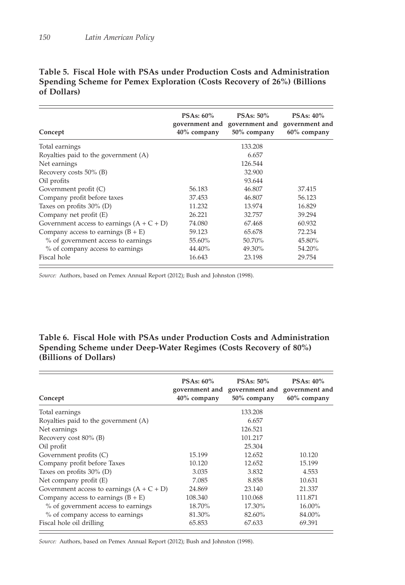| Concept                                     | $PSAs: 60\%$<br>$40\%$ company | $PSAs: 50\%$<br>government and government and<br>50% company | PSAs: 40%<br>government and<br>60% company |
|---------------------------------------------|--------------------------------|--------------------------------------------------------------|--------------------------------------------|
| Total earnings                              |                                | 133.208                                                      |                                            |
| Royalties paid to the government (A)        |                                | 6.657                                                        |                                            |
| Net earnings                                |                                | 126.544                                                      |                                            |
| Recovery costs 50% (B)                      |                                | 32.900                                                       |                                            |
| Oil profits                                 |                                | 93.644                                                       |                                            |
| Government profit (C)                       | 56.183                         | 46.807                                                       | 37.415                                     |
| Company profit before taxes                 | 37.453                         | 46.807                                                       | 56.123                                     |
| Taxes on profits $30\%$ (D)                 | 11.232                         | 13.974                                                       | 16.829                                     |
| Company net profit (E)                      | 26.221                         | 32.757                                                       | 39.294                                     |
| Government access to earnings $(A + C + D)$ | 74.080                         | 67.468                                                       | 60.932                                     |
| Company access to earnings $(B + E)$        | 59.123                         | 65.678                                                       | 72.234                                     |
| % of government access to earnings          | 55.60%                         | 50.70%                                                       | 45.80%                                     |
| % of company access to earnings             | 44.40%                         | 49.30%                                                       | 54.20%                                     |
| Fiscal hole                                 | 16.643                         | 23.198                                                       | 29.754                                     |

**Table 5. Fiscal Hole with PSAs under Production Costs and Administration Spending Scheme for Pemex Exploration (Costs Recovery of 26%) (Billions of Dollars)**

*Source:* Authors, based on Pemex Annual Report (2012); Bush and Johnston (1998).

## **Table 6. Fiscal Hole with PSAs under Production Costs and Administration Spending Scheme under Deep-Water Regimes (Costs Recovery of 80%) (Billions of Dollars)**

| $PSAs: 60\%$<br>40% company | $PSAs: 50\%$<br>50% company | PSAs: 40%<br>60% company                     |
|-----------------------------|-----------------------------|----------------------------------------------|
|                             | 133.208                     |                                              |
|                             | 6.657                       |                                              |
|                             | 126.521                     |                                              |
|                             | 101.217                     |                                              |
|                             | 25.304                      |                                              |
| 15.199                      | 12.652                      | 10.120                                       |
| 10.120                      | 12.652                      | 15.199                                       |
| 3.035                       | 3.832                       | 4.553                                        |
| 7.085                       | 8.858                       | 10.631                                       |
| 24.869                      | 23.140                      | 21.337                                       |
| 108.340                     | 110.068                     | 111.871                                      |
| 18.70%                      | 17.30%                      | 16.00%                                       |
| 81.30%                      | 82.60%                      | 84.00%                                       |
| 65.853                      | 67.633                      | 69.391                                       |
|                             |                             | government and government and government and |

*Source:* Authors, based on Pemex Annual Report (2012); Bush and Johnston (1998).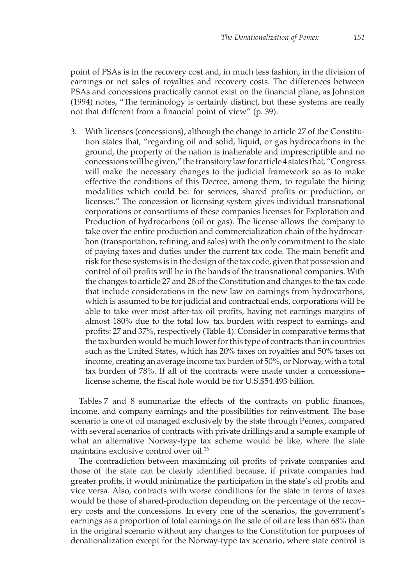point of PSAs is in the recovery cost and, in much less fashion, in the division of earnings or net sales of royalties and recovery costs. The differences between PSAs and concessions practically cannot exist on the financial plane, as Johnston (1994) notes, "The terminology is certainly distinct, but these systems are really not that different from a financial point of view" (p. 39).

3. With licenses (concessions), although the change to article 27 of the Constitution states that, "regarding oil and solid, liquid, or gas hydrocarbons in the ground, the property of the nation is inalienable and imprescriptible and no concessions will be given," the transitory law for article 4 states that, "Congress will make the necessary changes to the judicial framework so as to make effective the conditions of this Decree, among them, to regulate the hiring modalities which could be: for services, shared profits or production, or licenses." The concession or licensing system gives individual transnational corporations or consortiums of these companies licenses for Exploration and Production of hydrocarbons (oil or gas). The license allows the company to take over the entire production and commercialization chain of the hydrocarbon (transportation, refining, and sales) with the only commitment to the state of paying taxes and duties under the current tax code. The main benefit and risk for these systems is in the design of the tax code, given that possession and control of oil profits will be in the hands of the transnational companies. With the changes to article 27 and 28 of the Constitution and changes to the tax code that include considerations in the new law on earnings from hydrocarbons, which is assumed to be for judicial and contractual ends, corporations will be able to take over most after-tax oil profits, having net earnings margins of almost 180% due to the total low tax burden with respect to earnings and profits: 27 and 37%, respectively (Table 4). Consider in comparative terms that the tax burden would be much lower for this type of contracts than in countries such as the United States, which has 20% taxes on royalties and 50% taxes on income, creating an average income tax burden of 50%, or Norway, with a total tax burden of 78%. If all of the contracts were made under a concessions– license scheme, the fiscal hole would be for U.S.\$54.493 billion.

Tables 7 and 8 summarize the effects of the contracts on public finances, income, and company earnings and the possibilities for reinvestment. The base scenario is one of oil managed exclusively by the state through Pemex, compared with several scenarios of contracts with private drillings and a sample example of what an alternative Norway-type tax scheme would be like, where the state maintains exclusive control over oil.26

The contradiction between maximizing oil profits of private companies and those of the state can be clearly identified because, if private companies had greater profits, it would minimalize the participation in the state's oil profits and vice versa. Also, contracts with worse conditions for the state in terms of taxes would be those of shared-production depending on the percentage of the recovery costs and the concessions. In every one of the scenarios, the government's earnings as a proportion of total earnings on the sale of oil are less than 68% than in the original scenario without any changes to the Constitution for purposes of denationalization except for the Norway-type tax scenario, where state control is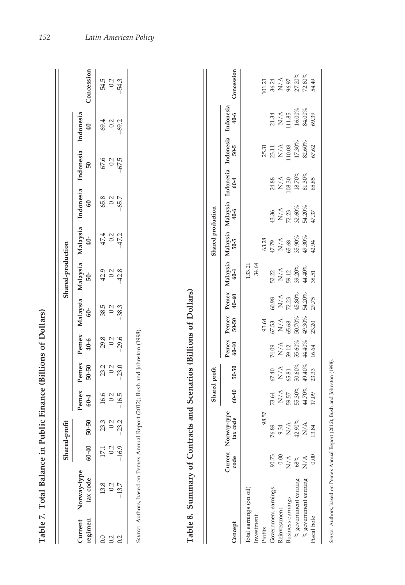|         |                                 |           | Shared-profit |                |                |                |         | Shared-production |                |                                                                                                          |                |                |            |
|---------|---------------------------------|-----------|---------------|----------------|----------------|----------------|---------|-------------------|----------------|----------------------------------------------------------------------------------------------------------|----------------|----------------|------------|
| regimen | Current Norway-type<br>tax code | $60 - 40$ | $50 - 50$     |                |                |                | $60-$   |                   |                | Pemex Pemex Pemex Malaysia Malaysia Malaysia Indonesia Indonesia Indonesia<br>60-4 50-50 40-6 60-<br>90- |                |                | Concession |
|         | $-13.8$                         | $-17.1$   | $-23.3$       |                |                |                | $-38.5$ |                   |                | $-65.8$                                                                                                  |                |                | $-54.5$    |
|         | 0.2                             | 0.2       | 0.2           | $-16.6$<br>0.2 | $-23.2$<br>0.2 | $-29.8$<br>0.2 | 0.2     | $42.9$<br>0.2     | $-47.4$<br>0.2 | 0.2                                                                                                      | $-67.6$<br>0.2 | $-69.4$<br>0.2 | 0.2        |
| ົດ<br>ດ | $-13.7$                         | $-16.9$   | $-23.2$       | $-16.5$        | $-23.0$        | $-29.6$        | $-38.3$ | $-42.8$           | $-47.2$        | $-65.7$                                                                                                  | $-67.5$        | $-69.2$        | $-54.3$    |

# Table 8. Summary of Contracts and Scenarios (Billions of Dollars) **Table 8. Summary of Contracts and Scenarios (Billions of Dollars)**

|                         |                                                                                     |                                            | Shared profit                                       |                                 |                                           |                                            |                                  |                                                     | Shared production                                             |                                                                                                                   |                                                                                                                  |                                                                                                |                                                      |                                                              |
|-------------------------|-------------------------------------------------------------------------------------|--------------------------------------------|-----------------------------------------------------|---------------------------------|-------------------------------------------|--------------------------------------------|----------------------------------|-----------------------------------------------------|---------------------------------------------------------------|-------------------------------------------------------------------------------------------------------------------|------------------------------------------------------------------------------------------------------------------|------------------------------------------------------------------------------------------------|------------------------------------------------------|--------------------------------------------------------------|
| <b>Concept</b>          | Current<br>code                                                                     | orway-type<br>tax code<br>Z                | $60 - 40$                                           | 50-50                           | Pemex<br>$60-40$                          | Pemex<br>50-50                             | Pemex<br>40–60                   | $\therefore$ Malaysia IV                            |                                                               |                                                                                                                   |                                                                                                                  | Indonesia<br>50-5                                                                              | Indonesia<br>40-6                                    | Concessior                                                   |
| [otal earnings (on oil) |                                                                                     |                                            |                                                     |                                 |                                           |                                            |                                  |                                                     |                                                               |                                                                                                                   |                                                                                                                  |                                                                                                |                                                      |                                                              |
| nvestment               |                                                                                     |                                            |                                                     |                                 |                                           |                                            |                                  | 133.21<br>34.64                                     |                                                               |                                                                                                                   |                                                                                                                  |                                                                                                |                                                      |                                                              |
| Profits                 |                                                                                     | 98.57                                      |                                                     |                                 |                                           |                                            |                                  |                                                     |                                                               |                                                                                                                   |                                                                                                                  |                                                                                                |                                                      |                                                              |
| Government earnings     | 90.73                                                                               | 76.89                                      |                                                     |                                 |                                           | 93.64<br>67.53<br>N / A<br>65.68<br>50.70% |                                  |                                                     | $63.28$<br>H7.79<br>N/A<br>N5.68<br>S5.90%<br>35.90%<br>42.94 |                                                                                                                   |                                                                                                                  | $\begin{array}{l} 25.31\\ 23.11\\ \text{N/A}\\ 110.08\\ 17.30\%\\ 82.60\%\\ 67.62 \end{array}$ |                                                      | 101.23<br>36.24<br>N/A<br>96.97<br>27.20%<br>72.80%<br>74.49 |
| <b>Reinvestment</b>     | 0.00                                                                                |                                            |                                                     |                                 |                                           |                                            |                                  |                                                     |                                                               |                                                                                                                   |                                                                                                                  |                                                                                                |                                                      |                                                              |
| usiness earnings        |                                                                                     |                                            |                                                     |                                 |                                           |                                            |                                  |                                                     |                                                               |                                                                                                                   |                                                                                                                  |                                                                                                |                                                      |                                                              |
| $%$ government earning  | $\begin{array}{l} \mathbf{N}/\mathbf{A}\\ 68\%\\ \mathbf{N}/\mathbf{A} \end{array}$ |                                            |                                                     | 67.40<br>N/A<br>65.81<br>50.60% |                                           |                                            | $60.98$<br>N/A<br>N.23<br>45.80% |                                                     |                                                               |                                                                                                                   |                                                                                                                  |                                                                                                |                                                      |                                                              |
| $%$ government earning  |                                                                                     | 9.34<br>N/A<br>42.90%<br>N/A<br>N/A<br>N/A | 73.64<br>N/A<br>59.57<br>55.30%<br>44.70%<br>44.70% | 49.40%                          | 74.09<br>N/A<br>59.12<br>55.60%<br>44.40% | $49.30\%$<br>$23.20$                       | 54.20%<br>29.75                  | 52.22<br>N/A<br>S9.12<br>S9.20%<br>44.40%<br>44.40% |                                                               | $\begin{array}{l} 43.36 \\ \text{N/A} \\ \text{N2.23} \\ 32.60\% \\ \text{54.20\%} \\ \text{54.20\%} \end{array}$ | $\begin{array}{l} 24.88 \\ \text{N/A} \\ \text{108.30} \\ 18.70\% \\ \text{81.30\%} \\ \text{50.85} \end{array}$ |                                                                                                | 21.34<br>N / A<br>N 1.85<br>16.00%<br>89.39<br>69.39 |                                                              |
| Fiscal hole             | 0.00                                                                                |                                            |                                                     | 23.33                           | 16.64                                     |                                            |                                  |                                                     |                                                               |                                                                                                                   |                                                                                                                  |                                                                                                |                                                      |                                                              |
| $\ddot{\phantom{a}}$    |                                                                                     |                                            | j                                                   |                                 |                                           |                                            |                                  |                                                     |                                                               |                                                                                                                   |                                                                                                                  |                                                                                                |                                                      |                                                              |
|                         |                                                                                     |                                            |                                                     |                                 |                                           |                                            |                                  |                                                     |                                                               |                                                                                                                   |                                                                                                                  |                                                                                                |                                                      |                                                              |

Source: Authors, based on Pemex Annual Report (2012); Bush and Johnston (1998). *Source:* Authors, based on Pemex Annual Report (2012); Bush and Johnston (1998).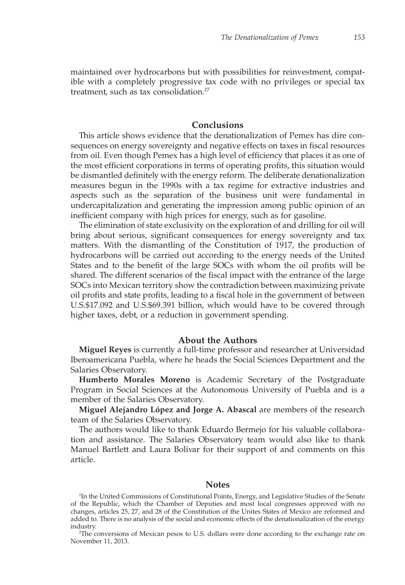maintained over hydrocarbons but with possibilities for reinvestment, compatible with a completely progressive tax code with no privileges or special tax treatment, such as tax consolidation.<sup>27</sup>

### **Conclusions**

This article shows evidence that the denationalization of Pemex has dire consequences on energy sovereignty and negative effects on taxes in fiscal resources from oil. Even though Pemex has a high level of efficiency that places it as one of the most efficient corporations in terms of operating profits, this situation would be dismantled definitely with the energy reform. The deliberate denationalization measures begun in the 1990s with a tax regime for extractive industries and aspects such as the separation of the business unit were fundamental in undercapitalization and generating the impression among public opinion of an inefficient company with high prices for energy, such as for gasoline.

The elimination of state exclusivity on the exploration of and drilling for oil will bring about serious, significant consequences for energy sovereignty and tax matters. With the dismantling of the Constitution of 1917, the production of hydrocarbons will be carried out according to the energy needs of the United States and to the benefit of the large SOCs with whom the oil profits will be shared. The different scenarios of the fiscal impact with the entrance of the large SOCs into Mexican territory show the contradiction between maximizing private oil profits and state profits, leading to a fiscal hole in the government of between U.S.\$17.092 and U.S.\$69.391 billion, which would have to be covered through higher taxes, debt, or a reduction in government spending.

### **About the Authors**

**Miguel Reyes** is currently a full-time professor and researcher at Universidad Iberoamericana Puebla, where he heads the Social Sciences Department and the Salaries Observatory.

**Humberto Morales Moreno** is Academic Secretary of the Postgraduate Program in Social Sciences at the Autonomous University of Puebla and is a member of the Salaries Observatory.

**Miguel Alejandro López and Jorge A. Abascal** are members of the research team of the Salaries Observatory.

The authors would like to thank Eduardo Bermejo for his valuable collaboration and assistance. The Salaries Observatory team would also like to thank Manuel Bartlett and Laura Bolívar for their support of and comments on this article.

### **Notes**

2 The conversions of Mexican pesos to U.S. dollars were done according to the exchange rate on November 11, 2013.

<sup>&</sup>lt;sup>1</sup>In the United Commissions of Constitutional Points, Energy, and Legislative Studies of the Senate of the Republic, which the Chamber of Deputies and most local congresses approved with no changes, articles 25, 27, and 28 of the Constitution of the Unites States of Mexico are reformed and added to. There is no analysis of the social and economic effects of the denationalization of the energy industry.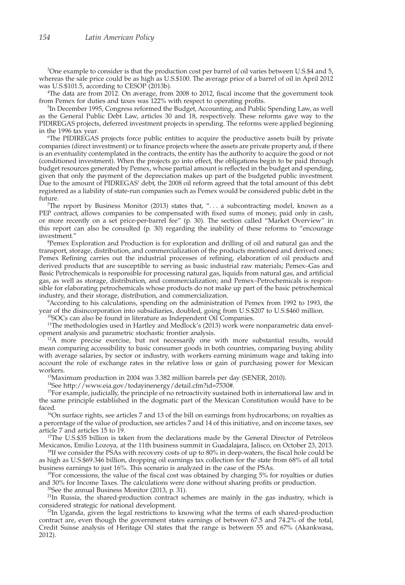3 One example to consider is that the production cost per barrel of oil varies between U.S.\$4 and 5, whereas the sale price could be as high as U.S.\$100. The average price of a barrel of oil in April 2012 was U.S.\$101.5, according to CESOP (2013b).

4 The data are from 2012. On average, from 2008 to 2012, fiscal income that the government took from Pemex for duties and taxes was 122% with respect to operating profits.

5 In December 1995, Congress reformed the Budget, Accounting, and Public Spending Law, as well as the General Public Debt Law, articles 30 and 18, respectively. These reforms gave way to the PIDIREGAS projects, deferred investment projects in spending. The reforms were applied beginning in the 1996 tax year.

6 The PIDIREGAS projects force public entities to acquire the productive assets built by private companies (direct investment) or to finance projects where the assets are private property and, if there is an eventuality contemplated in the contracts, the entity has the authority to acquire the good or not (conditioned investment). When the projects go into effect, the obligations begin to be paid through budget resources generated by Pemex, whose partial amount is reflected in the budget and spending, given that only the payment of the depreciation makes up part of the budgeted public investment. Due to the amount of PIDREGAS' debt, the 2008 oil reform agreed that the total amount of this debt registered as a liability of state-run companies such as Pemex would be considered public debt in the future.

7 The report by Business Monitor (2013) states that, ". . . a subcontracting model, known as a PEP contract, allows companies to be compensated with fixed sums of money, paid only in cash, or more recently on a set price-per-barrel fee" (p. 30). The section called "Market Overview" in this report can also be consulted (p. 30) regarding the inability of these reforms to "encourage investment."

8 Pemex Exploration and Production is for exploration and drilling of oil and natural gas and the transport, storage, distribution, and commercialization of the products mentioned and derived ones; Pemex Refining carries out the industrial processes of refining, elaboration of oil products and derived products that are susceptible to serving as basic industrial raw materials; Pemex–Gas and Basic Petrochemicals is responsible for processing natural gas, liquids from natural gas, and artificial gas, as well as storage, distribution, and commercialization; and Pemex–Petrochemicals is responsible for elaborating petrochemicals whose products do not make up part of the basic petrochemical industry, and their storage, distribution, and commercialization.

9 According to his calculations, spending on the administration of Pemex from 1992 to 1993, the year of the disincorporation into subsidiaries, doubled, going from U.S.\$207 to U.S.\$460 million.

<sup>10</sup>SOCs can also be found in literature as Independent Oil Companies.

<sup>11</sup>The methodologies used in Hartley and Medlock's (2013) work were nonparametric data envelopment analysis and parametric stochastic frontier analysis.

 $12A$  more precise exercise, but not necessarily one with more substantial results, would mean comparing accessibility to basic consumer goods in both countries, comparing buying ability with average salaries, by sector or industry, with workers earning minimum wage and taking into account the role of exchange rates in the relative loss or gain of purchasing power for Mexican workers.

<sup>13</sup>Maximum production in 2004 was 3.382 million barrels per day (SENER, 2010).

<sup>14</sup>See [http://www.eia.gov/todayinenergy/detail.cfm?id](http://www.eia.gov/todayinenergy/detail.cfm?id=7530#)=7530#.

 $15$ For example, judicially, the principle of no retroactivity sustained both in international law and in the same principle established in the dogmatic part of the Mexican Constitution would have to be faced.

 $16$ On surface rights, see articles 7 and 13 of the bill on earnings from hydrocarbons; on royalties as a percentage of the value of production, see articles 7 and 14 of this initiative, and on income taxes, see article 7 and articles 15 to 19.

<sup>17</sup>The U.S.\$35 billion is taken from the declarations made by the General Director of Petróleos Mexicanos, Emilio Lozoya, at the 11th business summit in Guadalajara, Jalisco, on October 23, 2013.

 $18$ If we consider the PSAs with recovery costs of up to 80% in deep-waters, the fiscal hole could be as high as U.S.\$69.346 billion, dropping oil earnings tax collection for the state from 68% of all total business earnings to just 16%. This scenario is analyzed in the case of the PSAs.

 $19$ For concessions, the value of the fiscal cost was obtained by charging  $5\%$  for royalties or duties and 30% for Income Taxes. The calculations were done without sharing profits or production.

<sup>20</sup>See the annual Business Monitor (2013, p. 31).

<sup>21</sup>In Russia, the shared-production contract schemes are mainly in the gas industry, which is considered strategic for national development.

 $^{22}$ In Uganda, given the legal restrictions to knowing what the terms of each shared-production contract are, even though the government states earnings of between 67.5 and 74.2% of the total, Credit Suisse analysis of Heritage Oil states that the range is between 55 and 67% (Akankwasa, 2012).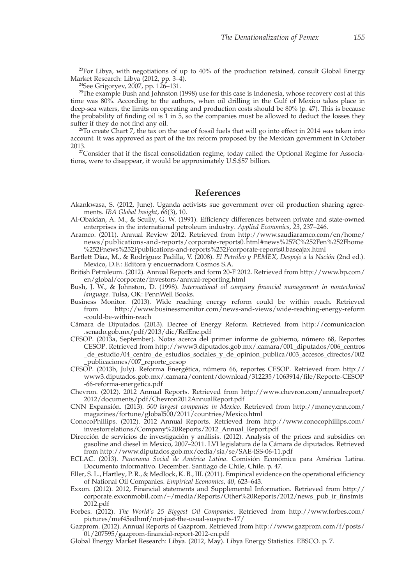$^{23}$ For Libya, with negotiations of up to 40% of the production retained, consult Global Energy Market Research: Libya (2012, pp. 3–4).

24See Grigoryev, 2007, pp. 126–131.

<sup>25</sup>The example Bush and Johnston (1998) use for this case is Indonesia, whose recovery cost at this time was 80%. According to the authors, when oil drilling in the Gulf of Mexico takes place in deep-sea waters, the limits on operating and production costs should be 80% (p. 47). This is because the probability of finding oil is 1 in 5, so the companies must be allowed to deduct the losses they suffer if they do not find any oil.

 $^{26}$ To create Chart 7, the tax on the use of fossil fuels that will go into effect in 2014 was taken into account. It was approved as part of the tax reform proposed by the Mexican government in October 2013.

 $^{27}$ Consider that if the fiscal consolidation regime, today called the Optional Regime for Associations, were to disappear, it would be approximately U.S.\$57 billion.

### **References**

- Akankwasa, S. (2012, June). Uganda activists sue government over oil production sharing agreements. *IBA Global Insight*, *66*(3), 10.
- Al-Obaidan, A. M., & Scully, G. W. (1991). Efficiency differences between private and state-owned enterprises in the international petroleum industry. *Applied Economics*, *23*, 237–246.
- Aramco. (2011). Annual Review 2012. Retrieved from [http://www.saudiaramco.com/en/home/](http://www.saudiaramco.com/en/home/news/publications-and-reports/corporate-reports0.html#news%25257C%25252Fen%25252Fhome%25252Fnews%25252Fpublications-and-reports%25252Fcorporate-reports0.baseajax.html) [news/publications-and-reports/corporate-reports0.html#news%257C%252Fen%252Fhome](http://www.saudiaramco.com/en/home/news/publications-and-reports/corporate-reports0.html#news%25257C%25252Fen%25252Fhome%25252Fnews%25252Fpublications-and-reports%25252Fcorporate-reports0.baseajax.html) [%252Fnews%252Fpublications-and-reports%252Fcorporate-reports0.baseajax.html](http://www.saudiaramco.com/en/home/news/publications-and-reports/corporate-reports0.html#news%25257C%25252Fen%25252Fhome%25252Fnews%25252Fpublications-and-reports%25252Fcorporate-reports0.baseajax.html)
- Bartlett Díaz, M., & Rodríguez Padilla, V. (2008). *El Petróleo y PEMEX, Despojo a la Nación* (2nd ed.). Mexico, D.F.: Editora y encuernadora Cosmos S.A.
- British Petroleum. (2012). Annual Reports and form 20-F 2012. Retrieved from [http://www.bp.com/](http://www.bp.com/en/global/corporate/investors/annual-reporting.html) [en/global/corporate/investors/annual-reporting.html](http://www.bp.com/en/global/corporate/investors/annual-reporting.html)
- Bush, J. W., & Johnston, D. (1998). *International oil company financial management in nontechnical language*. Tulsa, OK: PennWell Books.
- Business Monitor. (2013). Wide reaching energy reform could be within reach. Retrieved from [http://www.businessmonitor.com/news-and-views/wide-reaching-energy-reform](http://www.businessmonitor.com/news-and-views/wide-reaching-energy-reform-could-be-within-reach) [-could-be-within-reach](http://www.businessmonitor.com/news-and-views/wide-reaching-energy-reform-could-be-within-reach)
- Cámara de Diputados. (2013). Decree of Energy Reform. Retrieved from [http://comunicacion](http://comunicacion.senado.gob.mx/pdf/2013/dic/RefEne.pdf) [.senado.gob.mx/pdf/2013/dic/RefEne.pdf](http://comunicacion.senado.gob.mx/pdf/2013/dic/RefEne.pdf)
- CESOP. (2013a, September). Notas acerca del primer informe de gobierno, número 68, Reportes CESOP. Retrieved from [http://www3.diputados.gob.mx/.camara/001\\_diputados/006\\_centros](http://www3.diputados.gob.mx/.camara/001_diputados/006_centros_de_estudio/04_centro_de_estudios_sociales_y_de_opinion_publica/003_accesos_directos/002_publicaciones/007_reporte_cesop) [\\_de\\_estudio/04\\_centro\\_de\\_estudios\\_sociales\\_y\\_de\\_opinion\\_publica/003\\_accesos\\_directos/002](http://www3.diputados.gob.mx/.camara/001_diputados/006_centros_de_estudio/04_centro_de_estudios_sociales_y_de_opinion_publica/003_accesos_directos/002_publicaciones/007_reporte_cesop) [\\_publicaciones/007\\_reporte\\_cesop](http://www3.diputados.gob.mx/.camara/001_diputados/006_centros_de_estudio/04_centro_de_estudios_sociales_y_de_opinion_publica/003_accesos_directos/002_publicaciones/007_reporte_cesop)
- CESOP. (2013b, July). Reforma Energética, número 66, reportes CESOP. Retrieved from [http://](http://www3.diputados.gob.mx/.camara/content/download/312235/1063914/file/Reporte-CESOP-66-reforma-energetica.pdf) [www3.diputados.gob.mx/.camara/content/download/312235/1063914/file/Reporte-CESOP](http://www3.diputados.gob.mx/.camara/content/download/312235/1063914/file/Reporte-CESOP-66-reforma-energetica.pdf) [-66-reforma-energetica.pdf](http://www3.diputados.gob.mx/.camara/content/download/312235/1063914/file/Reporte-CESOP-66-reforma-energetica.pdf)
- Chevron. (2012). 2012 Annual Reports. Retrieved from [http://www.chevron.com/annualreport/](http://www.chevron.com/annualreport/2012/documents/pdf/Chevron2012AnnualReport.pdf) [2012/documents/pdf/Chevron2012AnnualReport.pdf](http://www.chevron.com/annualreport/2012/documents/pdf/Chevron2012AnnualReport.pdf)
- CNN Expansión. (2013). *500 largest companies in Mexico*. Retrieved from [http://money.cnn.com/](http://money.cnn.com/magazines/fortune/global500/2011/countries/Mexico.html) [magazines/fortune/global500/2011/countries/Mexico.html](http://money.cnn.com/magazines/fortune/global500/2011/countries/Mexico.html)
- ConocoPhillips. (2012). 2012 Annual Reports. Retrieved from [http://www.conocophillips.com/](http://www.conocophillips.com/investorrelations/Company%2520Reports/2012_Annual_Report.pdf) [investorrelations/Company%20Reports/2012\\_Annual\\_Report.pdf](http://www.conocophillips.com/investorrelations/Company%2520Reports/2012_Annual_Report.pdf)
- Dirección de servicios de investigación y análisis. (2012). Analysis of the prices and subsidies on gasoline and diesel in Mexico, 2007–2011. LVI legislatura de la Cámara de diputados. Retrieved from<http://www.diputados.gob.mx/cedia/sia/se/SAE-ISS-06-11.pdf>
- ECLAC. (2013). *Panorama Social de América Latina*. Comisión Económica para América Latina. Documento informativo. December. Santiago de Chile, Chile. p. 47.
- Eller, S. L., Hartley, P. R., & Medlock, K. B., III. (2011). Empirical evidence on the operational efficiency of National Oil Companies. *Empirical Economics*, *40*, 623–643.
- Exxon. (2012). 2012, Financial statements and Supplemental Information. Retrieved from [http://](http://corporate.exxonmobil.com/~/media/Reports/Other%2520Reports/2012/news_pub_ir_finstmts2012.pdf) corporate.exxonmobil.com/∼[/media/Reports/Other%20Reports/2012/news\\_pub\\_ir\\_finstmts](http://corporate.exxonmobil.com/~/media/Reports/Other%2520Reports/2012/news_pub_ir_finstmts2012.pdf) [2012.pdf](http://corporate.exxonmobil.com/~/media/Reports/Other%2520Reports/2012/news_pub_ir_finstmts2012.pdf)
- Forbes. (2012). *The World's 25 Biggest Oil Companies*. Retrieved from [http://www.forbes.com/](http://www.forbes.com/pictures/mef45edhmf/not-just-the-usual-suspects-17/) [pictures/mef45edhmf/not-just-the-usual-suspects-17/](http://www.forbes.com/pictures/mef45edhmf/not-just-the-usual-suspects-17/)
- Gazprom. (2012). Annual Reports of Gazprom. Retrieved from [http://www.gazprom.com/f/posts/](http://www.gazprom.com/f/posts/01/207595/gazprom-financial-report-2012-en.pdf) [01/207595/gazprom-financial-report-2012-en.pdf](http://www.gazprom.com/f/posts/01/207595/gazprom-financial-report-2012-en.pdf)
- Global Energy Market Research: Libya. (2012, May). Libya Energy Statistics. EBSCO. p. 7.